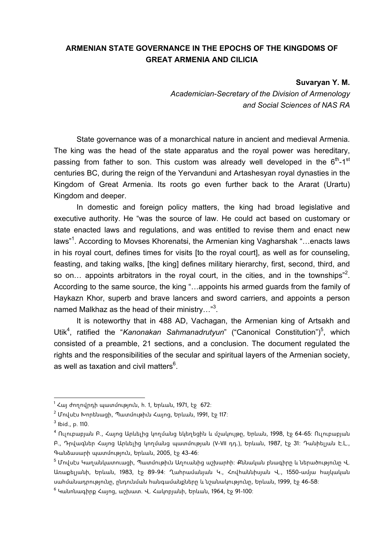## **ARMENIAN STATE GOVERNANCE IN THE EPOCHS OF THE KINGDOMS OF GREAT ARMENIA AND CILICIA**

## **Suvaryan Y. M.**

*Academician-Secretary of the Division of Armenology and Social Sciences of NAS RA* 

State governance was of a monarchical nature in ancient and medieval Armenia. The king was the head of the state apparatus and the royal power was hereditary, passing from father to son. This custom was already well developed in the  $6<sup>th</sup>$ -1<sup>st</sup> centuries BC, during the reign of the Yervanduni and Artashesyan royal dynasties in the Kingdom of Great Armenia. Its roots go even further back to the Ararat (Urartu) Kingdom and deeper.

In domestic and foreign policy matters, the king had broad legislative and executive authority. He "was the source of law. He could act based on customary or state enacted laws and regulations, and was entitled to revise them and enact new laws"<sup>1</sup>. According to Movses Khorenatsi, the Armenian king Vagharshak "...enacts laws in his royal court, defines times for visits [to the royal court], as well as for counseling, feasting, and taking walks, [the king] defines military hierarchy, first, second, third, and so on... appoints arbitrators in the royal court, in the cities, and in the townships"<sup>2</sup>. According to the same source, the king "…appoints his armed guards from the family of Haykazn Khor, superb and brave lancers and sword carriers, and appoints a person named Malkhaz as the head of their ministry..."<sup>3</sup>.

It is noteworthy that in 488 AD, Vachagan, the Armenian king of Artsakh and Utik<sup>4</sup>, ratified the "Kanonakan Sahmanadrutyun" ("Canonical Constitution")<sup>5</sup>, which consisted of a preamble, 21 sections, and a conclusion. The document regulated the rights and the responsibilities of the secular and spiritual layers of the Armenian society, as well as taxation and civil matters $^6$ .

1

 $^{\rm 1}$  Հայ ժողովրդի պատմություն, հ. 1, Երևան, 1971, էջ  $\,$  672։

<sup>&</sup>lt;sup>2</sup> Մովսէս Խորենացի, Պատմութիւն Հայոց, Երևան, 1991, էջ 117։

 $^3$  Ibid., p. 110.

<sup>4</sup> Ուլուբաբյան Բ., Հայոց Արևելից կողմանց եկեղեցին և մշակույթը, Երևան, 1998, էջ 64-65: Ուլուբաբյան Բ., Դրվագներ Հայոց Արևելից կողմանց պատմության (V-VII դդ.), Երևան, 1987, էջ 31: Դանիելյան Է.Լ., Գանձասարի պատմություն, Երևան, 2005, էջ 43-46:

<sup>&</sup>lt;sup>5</sup> Մովսէս Կաղանկատուացի, Պատմութիւն Աղուանից աշխարհի։ Քննական բնագիրը և ներածությունը Վ. Առաքելյանի, Երևան, 1983, էջ 89-94: Ղահրամանյան Կ., Հովհաննիսյան Վ., 1550-ամյա հայկական սահմանադրությունը, ընդունման հանգամանքները և նշանակությունը, Երևան, 1999, էջ 46-58:

<sup>&</sup>lt;sup>6</sup> Կանոնագիրք Հայոց, աշխատ. Վ. Հակոբյանի, Երևան, 1964, էջ 91-100։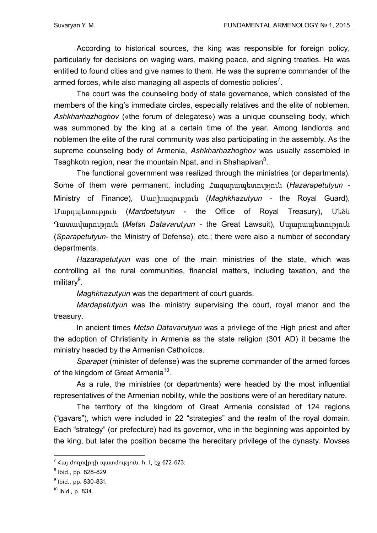According to historical sources, the king was responsible for foreign policy, particularly for decisions on waging wars, making peace, and signing treaties. He was entitled to found cities and give names to them. He was the supreme commander of the armed forces, while also managing all aspects of domestic policies<sup>7</sup>.

The court was the counseling body of state governance, which consisted of the members of the king's immediate circles, especially relatives and the elite of noblemen. *Ashkharhazhoghov* («the forum of delegates») was a unique counseling body, which was summoned by the king at a certain time of the year. Among landlords and noblemen the elite of the rural community was also participating in the assembly. As the supreme counseling body of Armenia, *Ashkharhazhoghov* was usually assembled in Tsaghkotn region, near the mountain Npat, and in Shahapivan<sup>8</sup>.

The functional government was realized through the ministries (or departments). Some of them were permanent, including Հազարապետություն (*Hazarapetutyun -* Ministry of Finance), Մաղխազություն (*Maghkhazutyun -* the Royal Guard), Մարդպետություն (*Mardpetutyun* - the Office of Royal Treasury), Մեծն Դատավարություն (*Metsn Datavarutyun -* the Great Lawsuit), Սպարապետություն (*Sparapetutyun*- the Ministry of Defense), etc.; there were also a number of secondary departments.

*Hazarapetutyun* was one of the main ministries of the state, which was controlling all the rural communities, financial matters, including taxation, and the military<sup>9</sup>.

*Maghkhazutyun* was the department of court guards.

*Mardapetutyun* was the ministry supervising the court, royal manor and the treasury.

In ancient times *Metsn Datavarutyun* was a privilege of the High priest and after the adoption of Christianity in Armenia as the state religion (301 AD) it became the ministry headed by the Armenian Catholicos.

*Sparapet* (minister of defense) was the supreme commander of the armed forces of the kingdom of Great Armenia<sup>10</sup>.

As a rule, the ministries (or departments) were headed by the most influential representatives of the Armenian nobility, while the positions were of an hereditary nature.

The territory of the kingdom of Great Armenia consisted of 124 regions ("gavars"), which were included in 22 "strategies" and the realm of the royal domain. Each "strategy" (or prefecture) had its governor, who in the beginning was appointed by the king, but later the position became the hereditary privilege of the dynasty. Movses

1

<sup>&</sup>lt;sup>7</sup> Հայ ժողովրդի պատմություն, հ. 1, էջ 672–673։

<sup>&</sup>lt;sup>8</sup> Ibid., pp. 828-829.

<sup>&</sup>lt;sup>9</sup> Ibid., pp. 830-831.

 $10$  Ibid., p. 834.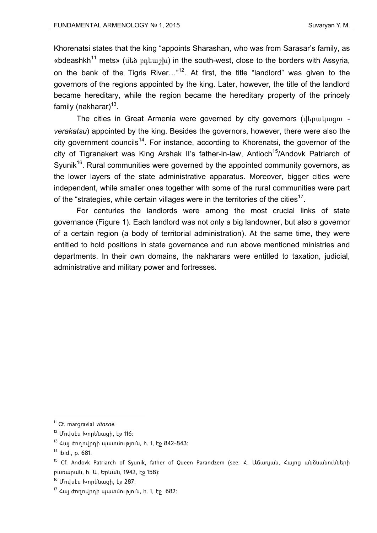Khorenatsi states that the king "appoints Sharashan, who was from Sarasar's family, as «bdeashkh<sup>11</sup> mets» (մեծ բդեաշխ) in the south-west, close to the borders with Assyria, on the bank of the Tigris River..."<sup>12</sup>. At first, the title "landlord" was given to the governors of the regions appointed by the king. Later, however, the title of the landlord became hereditary, while the region became the hereditary property of the princely family (nakharar) $13$ .

The cities in Great Armenia were governed by city governors (վերակացու *verakatsu*) appointed by the king. Besides the governors, however, there were also the city government councils<sup>14</sup>. For instance, according to Khorenatsi, the governor of the city of Tigranakert was King Arshak II's father-in-law, Antioch<sup>15</sup>/Andovk Patriarch of Syunik<sup>16</sup>. Rural communities were governed by the appointed community governors, as the lower layers of the state administrative apparatus. Moreover, bigger cities were independent, while smaller ones together with some of the rural communities were part of the "strategies, while certain villages were in the territories of the cities<sup>17</sup>.

For centuries the landlords were among the most crucial links of state governance (Figure 1). Each landlord was not only a big landowner, but also a governor of a certain region (a body of territorial administration). At the same time, they were entitled to hold positions in state governance and run above mentioned ministries and departments. In their own domains, the nakharars were entitled to taxation, judicial, administrative and military power and fortresses.

<sup>11</sup> Cf. margravial *vitaxae*.

<sup>12</sup> Մովսէս Խորենացի, էջ 116:

 $13$  Հայ ժողովրդի պատմություն, հ. 1, էջ 842-843։

 $14$  Ibid., p. 681.

<sup>15</sup> Cf. Andovk Patriarch of Syunik, father of Queen Parandzem (see: Հ. Աճառյան, Հայոց անձնանունների բառարան, հ. Ա, Երևան, 1942, էջ 158):

<sup>16</sup> Մովսէս Խորենացի, էջ 287:

 $17$  Հայ ժողովրդի պատմություն, h. 1, էջ 682: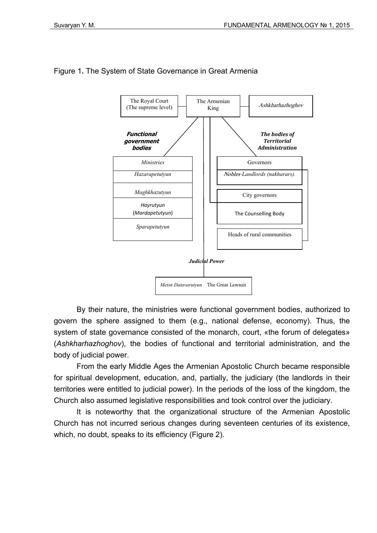

## Figure 1**.** The System of State Governance in Great Armenia

By their nature, the ministries were functional government bodies, authorized to govern the sphere assigned to them (e.g., national defense, economy). Thus, the system of state governance consisted of the monarch, court, «the forum of delegates» (*Ashkharhazhoghov*), the bodies of functional and territorial administration, and the body of judicial power.

From the early Middle Ages the Armenian Apostolic Church became responsible for spiritual development, education, and, partially, the judiciary (the landlords in their territories were entitled to judicial power). In the periods of the loss of the kingdom, the Church also assumed legislative responsibilities and took control over the judiciary.

It is noteworthy that the organizational structure of the Armenian Apostolic Church has not incurred serious changes during seventeen centuries of its existence, which, no doubt, speaks to its efficiency (Figure 2).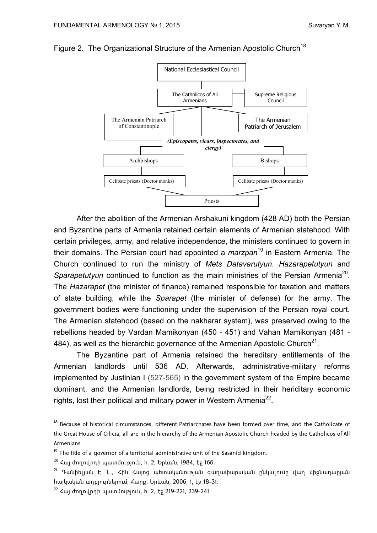

## Figure 2. The Organizational Structure of the Armenian Apostolic Church<sup>18</sup>

After the abolition of the Armenian Arshakuni kingdom (428 AD) both the Persian and Byzantine parts of Armenia retained certain elements of Armenian statehood. With certain privileges, army, and relative independence, the ministers continued to govern in their domains. The Persian court had appointed a *marzpan*<sup>19</sup> in Eastern Armenia. The Church continued to run the ministry of *Mets Datavarutyun*. *Hazarapetutyun* and *Sparapetutyun* continued to function as the main ministries of the Persian Armenia<sup>20</sup>. The *Hazarapet* (the minister of finance) remained responsible for taxation and matters of state building, while the *Sparapet* (the minister of defense) for the army. The government bodies were functioning under the supervision of the Persian royal court. The Armenian statehood (based on the nakharar system), was preserved owing to the rebellions headed by Vardan Mamikonyan (450 - 451) and Vahan Mamikonyan (481 - 484), as well as the hierarchic governance of the Armenian Apostolic Church<sup>21</sup>.

The Byzantine part of Armenia retained the hereditary entitlements of the Armenian landlords until 536 AD. Afterwards, administrative-military reforms implemented by Justinian I (527-565) in the government system of the Empire became dominant, and the Armenian landlords, being restricted in their heriditary economic rights, lost their political and military power in Western Armenia<sup>22</sup>.

<sup>&</sup>lt;sup>18</sup> Because of historical circumstances, different Patriarchates have been formed over time, and the Catholicate of the Great House of Cilicia, all are in the hierarchy of the Armenian Apostolic Church headed by the Catholicos of All Armenians.

 $19$  The title of a governor of a territorial administrative unit of the Sasanid kingdom.

 $20$  Հայ ժողովրդի պատմություն, h. 2, Երևան, 1984, էջ 166:

 $^{21}$  Դանիելյան Է. Լ., Հին Հայոց պետականության գաղափարական ընկալումը վաղ միջնադարյան հայկական աղբյուրներում, Հարք, Երևան, 2006, 1, էջ 18-31:

 $22$  Հայ ժողովրդի պատմություն, h. 2, էջ 219-221, 239-241: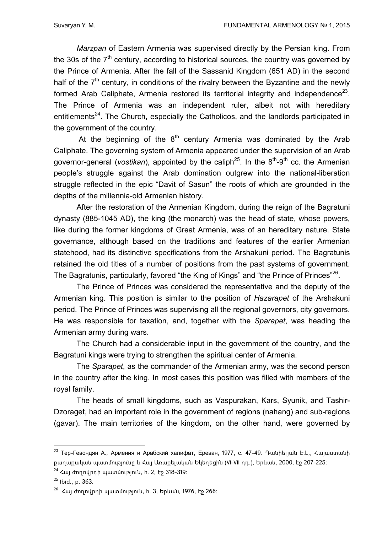*Marzpan* of Eastern Armenia was supervised directly by the Persian king. From the 30s of the  $7<sup>th</sup>$  century, according to historical sources, the country was governed by the Prince of Armenia. After the fall of the Sassanid Kingdom (651 AD) in the second half of the  $7<sup>th</sup>$  century, in conditions of the rivalry between the Byzantine and the newly formed Arab Caliphate, Armenia restored its territorial integrity and independence<sup>23</sup>. The Prince of Armenia was an independent ruler, albeit not with hereditary entitlements<sup>24</sup>. The Church, especially the Catholicos, and the landlords participated in the government of the country.

At the beginning of the  $8<sup>th</sup>$  century Armenia was dominated by the Arab Caliphate. The governing system of Armenia appeared under the supervision of an Arab governor-general (*vostikan*), appointed by the caliph<sup>25</sup>. In the 8<sup>th</sup>-9<sup>th</sup> cc. the Armenian people's struggle against the Arab domination outgrew into the national-liberation struggle reflected in the epic "Davit of Sasun" the roots of which are grounded in the depths of the millennia-old Armenian history.

After the restoration of the Armenian Kingdom, during the reign of the Bagratuni dynasty (885-1045 AD), the king (the monarch) was the head of state, whose powers, like during the former kingdoms of Great Armenia, was of an hereditary nature. State governance, although based on the traditions and features of the earlier Armenian statehood, had its distinctive specifications from the Arshakuni period. The Bagratunis retained the old titles of a number of positions from the past systems of government. The Bagratunis, particularly, favored "the King of Kings" and "the Prince of Princes"<sup>26</sup>.

The Prince of Princes was considered the representative and the deputy of the Armenian king. This position is similar to the position of *Hazarapet* of the Arshakuni period. The Prince of Princes was supervising all the regional governors, city governors. He was responsible for taxation, and, together with the *Sparapet*, was heading the Armenian army during wars.

The Church had a considerable input in the government of the country, and the Bagratuni kings were trying to strengthen the spiritual center of Armenia.

The *Sparapet*, as the commander of the Armenian army, was the second person in the country after the king. In most cases this position was filled with members of the royal family.

The heads of small kingdoms, such as Vaspurakan, Kars, Syunik, and Tashir-Dzoraget, had an important role in the government of regions (nahang) and sub-regions (gavar). The main territories of the kingdom, on the other hand, were governed by

 $23$  Тер-Гевондян А., Армения и Арабский халифат, Ереван, 1977, с. 47-49. Դանիելյան Է.Լ., Հայաստանի քաղաքական պատմությունը և Հայ Առաքելական Եկեղեցին (VI-VII դդ.), Երևան, 2000, էջ 207-225:

 $24$  Հայ ժողովրդի պատմություն, h. 2, էջ 318-319:

 $25$  Ibid., p. 363.

 $26$  Հայ ժողովրդի պատմություն, հ. 3, Երևան, 1976, էջ 266: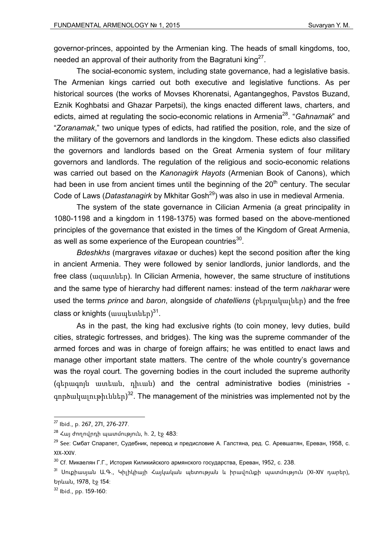governor-princes, appointed by the Armenian king. The heads of small kingdoms, too, needed an approval of their authority from the Bagratuni king<sup>27</sup>.

The social-economic system, including state governance, had a legislative basis. The Armenian kings carried out both executive and legislative functions. As per historical sources (the works of Movses Khorenatsi, Agantangeghos, Pavstos Buzand, Eznik Koghbatsi and Ghazar Parpetsi), the kings enacted different laws, charters, and edicts, aimed at regulating the socio-economic relations in Armenia28. "*Gahnamak*" and "*Zoranamak*," two unique types of edicts, had ratified the position, role, and the size of the military of the governors and landlords in the kingdom. These edicts also classified the governors and landlords based on the Great Armenia system of four military governors and landlords. The regulation of the religious and socio-economic relations was carried out based on the *Kanonagirk Hayots* (Armenian Book of Canons), which had been in use from ancient times until the beginning of the  $20<sup>th</sup>$  century. The secular Code of Laws (*Datastanagirk* by Mkhitar Gosh<sup>29</sup>) was also in use in medieval Armenia.

The system of the state governance in Cilician Armenia (a great principality in 1080-1198 and a kingdom in 1198-1375) was formed based on the above-mentioned principles of the governance that existed in the times of the Kingdom of Great Armenia, as well as some experience of the European countries $^{30}$ .

*Bdeshkhs* (margraves *vitaxae* or duches) kept the second position after the king in ancient Armenia. They were followed by senior landlords, junior landlords, and the free class (ազատներ). In Cilician Armenia, however, the same structure of institutions and the same type of hierarchy had different names: instead of the term *nakharar* were used the terms *prince* and *baron*, alongside of *chatelliens* (բերդակալներ) and the free class or knights (ասպետներ)<sup>31</sup>.

As in the past, the king had exclusive rights (to coin money, levy duties, build cities, strategic fortresses, and bridges). The king was the supreme commander of the armed forces and was in charge of foreign affairs; he was entitled to enact laws and manage other important state matters. The centre of the whole country's governance was the royal court. The governing bodies in the court included the supreme authority (գերագոյն ատեան, դիւան) and the central administrative bodies (ministries գործակալութիւններ) $^{32}$ . The management of the ministries was implemented not by the

<sup>27</sup> Ibid., p. 267, 271, 276-277.

 $28$  Հայ ժողովրդի պատմություն, h. 2, էջ 483:

<sup>&</sup>lt;sup>29</sup> See: Смбат Спарапет, Судебник, перевод и предисловие А. Галстяна, ред. С. Аревшатян, Ереван, 1958, с. XIX-XXIV.

 $30$  Cf. Микаелян Г.Г., История Киликийского армянского государства, Ереван, 1952, с. 238.

<sup>31</sup> Սուքիասյան Ա.Գ., Կիլիկիայի Հայկական պետության և իրավունքի պատմություն (XI-XIV դարեր), Երևան, 1978, էջ 154:

<sup>32</sup> Ibid., pp. 159-160: